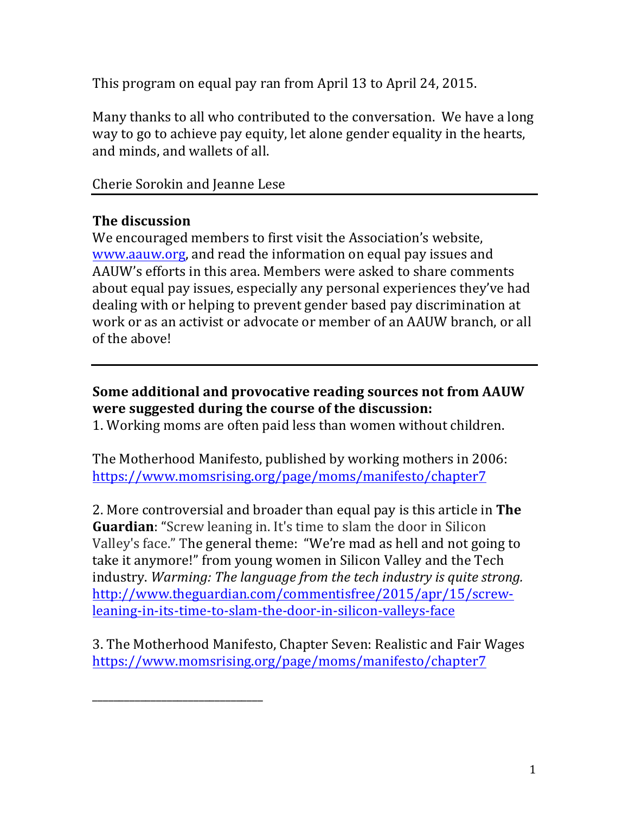This program on equal pay ran from April 13 to April 24, 2015.

Many thanks to all who contributed to the conversation. We have a long way to go to achieve pay equity, let alone gender equality in the hearts, and minds, and wallets of all.

Cherie Sorokin and Jeanne Lese

\_\_\_\_\_\_\_\_\_\_\_\_\_\_\_\_\_\_\_\_\_\_\_\_\_\_\_\_\_\_\_\_

## **The discussion**

We encouraged members to first visit the Association's website, www.aauw.org, and read the information on equal pay issues and AAUW's efforts in this area. Members were asked to share comments about equal pay issues, especially any personal experiences they've had dealing with or helping to prevent gender based pay discrimination at work or as an activist or advocate or member of an AAUW branch, or all of the above!

# **Some additional and provocative reading sources not from AAUW were suggested during the course of the discussion:**

1. Working moms are often paid less than women without children.

The Motherhood Manifesto, published by working mothers in 2006: https://www.momsrising.org/page/moms/manifesto/chapter7

2. More controversial and broader than equal pay is this article in **The Guardian:** "Screw leaning in. It's time to slam the door in Silicon Valley's face." The general theme: "We're mad as hell and not going to take it anymore!" from young women in Silicon Valley and the Tech industry. *Warming: The language from the tech industry is quite strong.* http://www.theguardian.com/commentisfree/2015/apr/15/screwleaning-in-its-time-to-slam-the-door-in-silicon-valleys-face

3. The Motherhood Manifesto, Chapter Seven: Realistic and Fair Wages https://www.momsrising.org/page/moms/manifesto/chapter7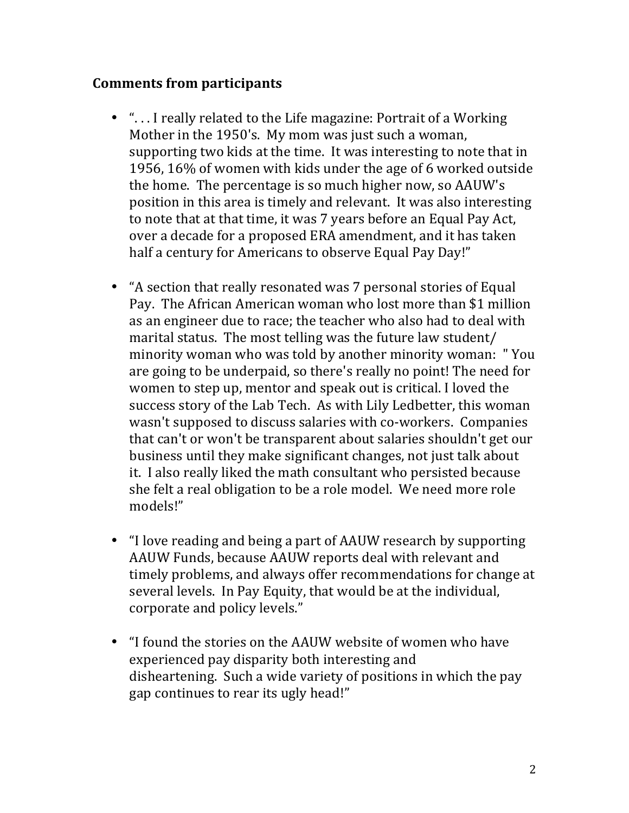### **Comments from participants**

- "... I really related to the Life magazine: Portrait of a Working Mother in the 1950's. My mom was just such a woman, supporting two kids at the time. It was interesting to note that in 1956, 16% of women with kids under the age of 6 worked outside the home. The percentage is so much higher now, so AAUW's position in this area is timely and relevant. It was also interesting to note that at that time, it was 7 years before an Equal Pay Act, over a decade for a proposed ERA amendment, and it has taken half a century for Americans to observe Equal Pay Day!"
- "A section that really resonated was 7 personal stories of Equal Pay. The African American woman who lost more than \$1 million as an engineer due to race; the teacher who also had to deal with marital status. The most telling was the future law student/ minority woman who was told by another minority woman: "You are going to be underpaid, so there's really no point! The need for women to step up, mentor and speak out is critical. I loved the success story of the Lab Tech. As with Lily Ledbetter, this woman wasn't supposed to discuss salaries with co-workers. Companies that can't or won't be transparent about salaries shouldn't get our business until they make significant changes, not just talk about it. I also really liked the math consultant who persisted because she felt a real obligation to be a role model. We need more role models!"
- "I love reading and being a part of AAUW research by supporting AAUW Funds, because AAUW reports deal with relevant and timely problems, and always offer recommendations for change at several levels. In Pay Equity, that would be at the individual, corporate and policy levels."
- "I found the stories on the AAUW website of women who have experienced pay disparity both interesting and disheartening. Such a wide variety of positions in which the pay gap continues to rear its ugly head!"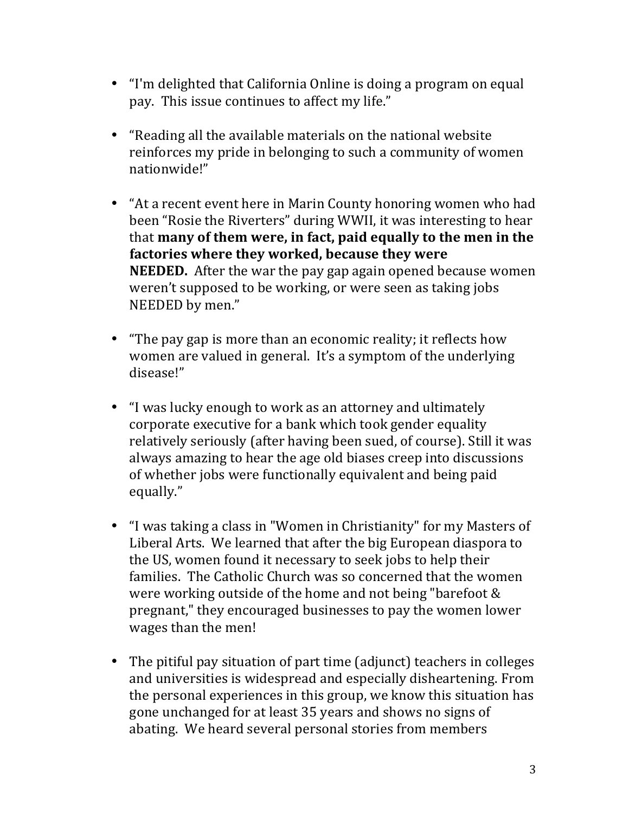- "I'm delighted that California Online is doing a program on equal pay. This issue continues to affect my life."
- "Reading all the available materials on the national website reinforces my pride in belonging to such a community of women nationwide!"
- "At a recent event here in Marin County honoring women who had been "Rosie the Riverters" during WWII, it was interesting to hear that **many of them were, in fact, paid equally to the men in the** factories where they worked, because they were **NEEDED.** After the war the pay gap again opened because women weren't supposed to be working, or were seen as taking jobs NEEDED by men."
- "The pay gap is more than an economic reality; it reflects how women are valued in general. It's a symptom of the underlying disease!"
- "I was lucky enough to work as an attorney and ultimately corporate executive for a bank which took gender equality relatively seriously (after having been sued, of course). Still it was always amazing to hear the age old biases creep into discussions of whether jobs were functionally equivalent and being paid equally."
- "I was taking a class in "Women in Christianity" for my Masters of Liberal Arts. We learned that after the big European diaspora to the US, women found it necessary to seek jobs to help their families. The Catholic Church was so concerned that the women were working outside of the home and not being "barefoot  $&$ pregnant," they encouraged businesses to pay the women lower wages than the men!
- The pitiful pay situation of part time (adjunct) teachers in colleges and universities is widespread and especially disheartening. From the personal experiences in this group, we know this situation has gone unchanged for at least 35 years and shows no signs of abating. We heard several personal stories from members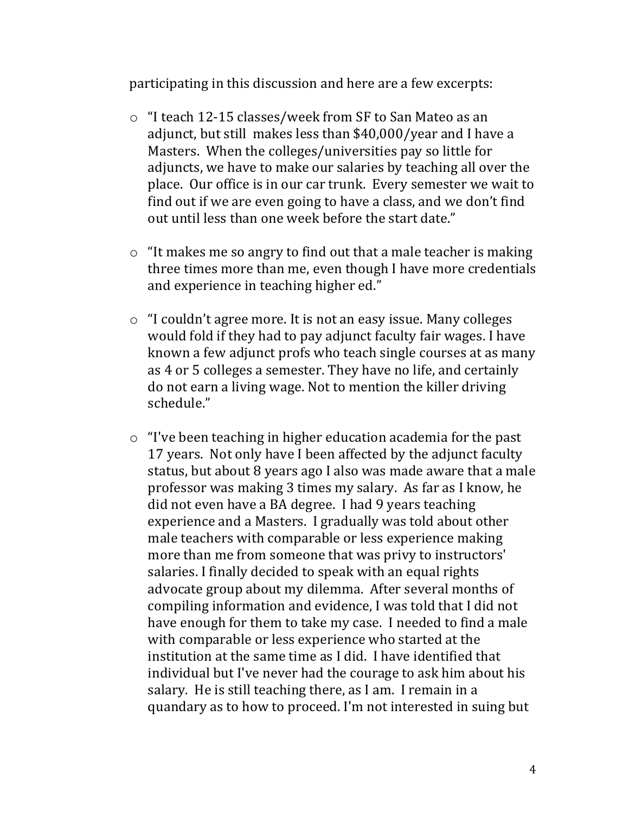participating in this discussion and here are a few excerpts:

- $\circ$  "I teach 12-15 classes/week from SF to San Mateo as an adjunct, but still makes less than \$40,000/year and I have a Masters. When the colleges/universities pay so little for adjuncts, we have to make our salaries by teaching all over the place. Our office is in our car trunk. Every semester we wait to find out if we are even going to have a class, and we don't find out until less than one week before the start date."
- $\circ$  "It makes me so angry to find out that a male teacher is making three times more than me, even though I have more credentials and experience in teaching higher ed."
- $\circ$  "I couldn't agree more. It is not an easy issue. Many colleges would fold if they had to pay adjunct faculty fair wages. I have known a few adjunct profs who teach single courses at as many as 4 or 5 colleges a semester. They have no life, and certainly do not earn a living wage. Not to mention the killer driving schedule."
- $\circ$  "I've been teaching in higher education academia for the past 17 years. Not only have I been affected by the adjunct faculty status, but about 8 years ago I also was made aware that a male professor was making 3 times my salary. As far as I know, he did not even have a BA degree. I had 9 years teaching experience and a Masters. I gradually was told about other male teachers with comparable or less experience making more than me from someone that was privy to instructors' salaries. I finally decided to speak with an equal rights advocate group about my dilemma. After several months of compiling information and evidence, I was told that I did not have enough for them to take my case. I needed to find a male with comparable or less experience who started at the institution at the same time as I did. I have identified that individual but I've never had the courage to ask him about his salary. He is still teaching there, as I am. I remain in a quandary as to how to proceed. I'm not interested in suing but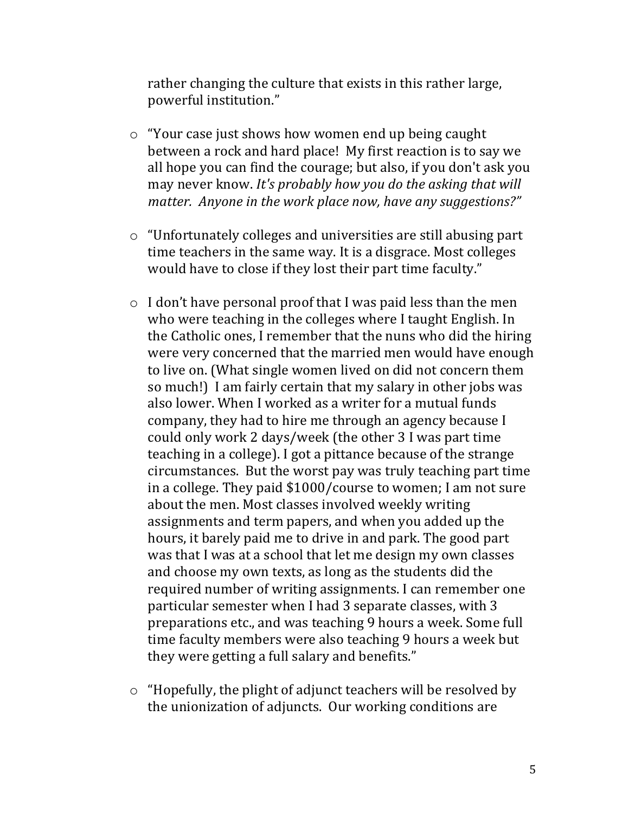rather changing the culture that exists in this rather large, powerful institution."

- $\circ$  "Your case just shows how women end up being caught between a rock and hard place! My first reaction is to say we all hope you can find the courage; but also, if you don't ask you may never know. It's probably how you do the asking that will *matter. Anyone in the work place now, have any suggestions?"*
- $\circ$  "Unfortunately colleges and universities are still abusing part time teachers in the same way. It is a disgrace. Most colleges would have to close if they lost their part time faculty."
- $\circ$  I don't have personal proof that I was paid less than the men who were teaching in the colleges where I taught English. In the Catholic ones, I remember that the nuns who did the hiring were very concerned that the married men would have enough to live on. (What single women lived on did not concern them so much!) I am fairly certain that my salary in other jobs was also lower. When I worked as a writer for a mutual funds company, they had to hire me through an agency because I could only work 2 days/week (the other 3 I was part time teaching in a college). I got a pittance because of the strange circumstances. But the worst pay was truly teaching part time in a college. They paid  $$1000/course$  to women; I am not sure about the men. Most classes involved weekly writing assignments and term papers, and when you added up the hours, it barely paid me to drive in and park. The good part was that I was at a school that let me design my own classes and choose my own texts, as long as the students did the required number of writing assignments. I can remember one particular semester when I had 3 separate classes, with 3 preparations etc., and was teaching 9 hours a week. Some full time faculty members were also teaching 9 hours a week but they were getting a full salary and benefits."
- $\circ$  "Hopefully, the plight of adjunct teachers will be resolved by the unionization of adjuncts. Our working conditions are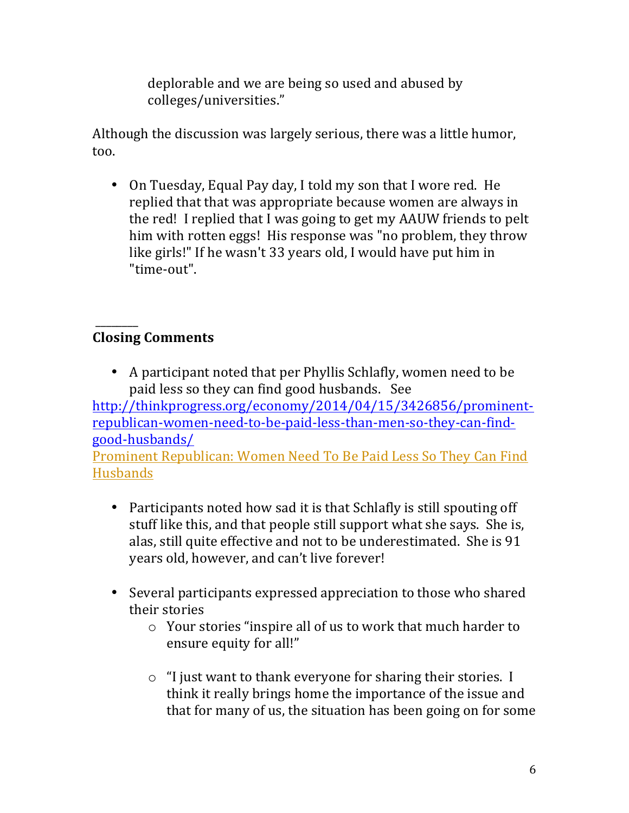deplorable and we are being so used and abused by colleges/universities."

Although the discussion was largely serious, there was a little humor, too.

• On Tuesday, Equal Pay day, I told my son that I wore red. He replied that that was appropriate because women are always in the red! I replied that I was going to get my AAUW friends to pelt him with rotten eggs! His response was "no problem, they throw like girls!" If he wasn't 33 years old, I would have put him in "time-out". 

### \_\_\_\_\_\_\_\_ **Closing Comments**

• A participant noted that per Phyllis Schlafly, women need to be paid less so they can find good husbands. See

http://thinkprogress.org/economy/2014/04/15/3426856/prominentrepublican-women-need-to-be-paid-less-than-men-so-they-can-findgood-husbands/

Prominent Republican: Women Need To Be Paid Less So They Can Find Husbands

- Participants noted how sad it is that Schlafly is still spouting off stuff like this, and that people still support what she says. She is, alas, still quite effective and not to be underestimated. She is 91 years old, however, and can't live forever!
- Several participants expressed appreciation to those who shared their stories
	- $\circ$  Your stories "inspire all of us to work that much harder to ensure equity for all!"
	- $\circ$  "I just want to thank everyone for sharing their stories. I think it really brings home the importance of the issue and that for many of us, the situation has been going on for some